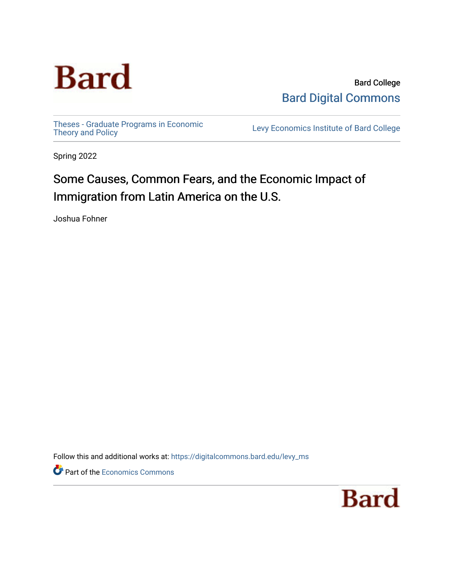

Bard College [Bard Digital Commons](https://digitalcommons.bard.edu/) 

[Theses - Graduate Programs in Economic](https://digitalcommons.bard.edu/levy_ms)

Levy Economics Institute of Bard College

Spring 2022

# Some Causes, Common Fears, and the Economic Impact of Immigration from Latin America on the U.S.

Joshua Fohner

Follow this and additional works at: [https://digitalcommons.bard.edu/levy\\_ms](https://digitalcommons.bard.edu/levy_ms?utm_source=digitalcommons.bard.edu%2Flevy_ms%2F41&utm_medium=PDF&utm_campaign=PDFCoverPages) 



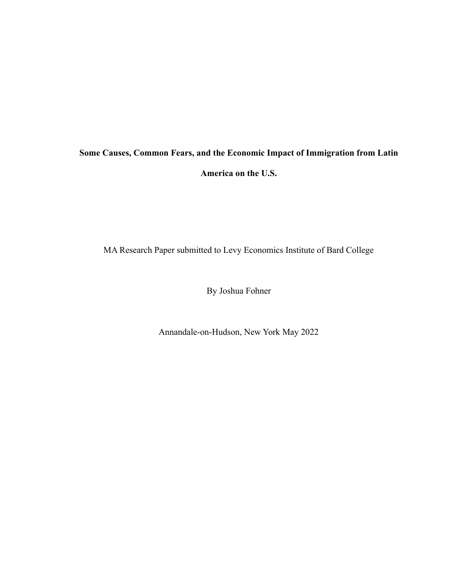# **Some Causes, Common Fears, and the Economic Impact of Immigration from Latin America on the U.S.**

MA Research Paper submitted to Levy Economics Institute of Bard College

By Joshua Fohner

Annandale-on-Hudson, New York May 2022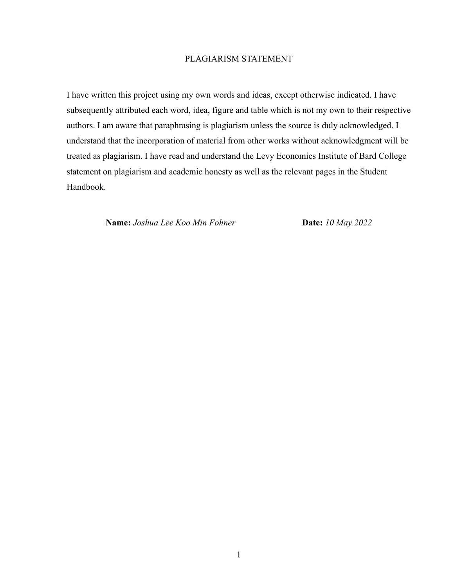# PLAGIARISM STATEMENT

I have written this project using my own words and ideas, except otherwise indicated. I have subsequently attributed each word, idea, figure and table which is not my own to their respective authors. I am aware that paraphrasing is plagiarism unless the source is duly acknowledged. I understand that the incorporation of material from other works without acknowledgment will be treated as plagiarism. I have read and understand the Levy Economics Institute of Bard College statement on plagiarism and academic honesty as well as the relevant pages in the Student Handbook.

**Name:** *Joshua Lee Koo Min Fohner* **Date:** *10 May 2022*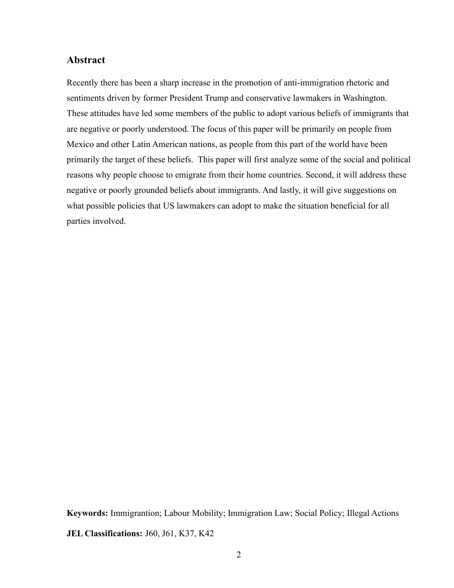# **Abstract**

Recently there has been a sharp increase in the promotion of anti-immigration rhetoric and sentiments driven by former President Trump and conservative lawmakers in Washington. These attitudes have led some members of the public to adopt various beliefs of immigrants that are negative or poorly understood. The focus of this paper will be primarily on people from Mexico and other Latin American nations, as people from this part of the world have been primarily the target of these beliefs. This paper will first analyze some of the social and political reasons why people choose to emigrate from their home countries. Second, it will address these negative or poorly grounded beliefs about immigrants. And lastly, it will give suggestions on what possible policies that US lawmakers can adopt to make the situation beneficial for all parties involved.

**Keywords:** Immigrantion; Labour Mobility; Immigration Law; Social Policy; Illegal Actions **JEL Classifications:** J60, J61, K37, K42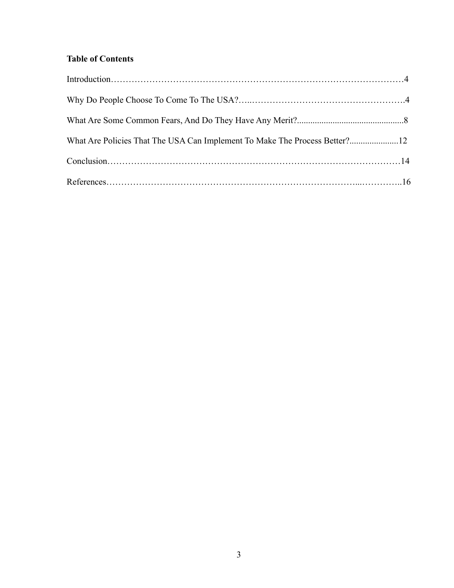# **Table of Contents**

| What Are Policies That The USA Can Implement To Make The Process Better?12 |  |
|----------------------------------------------------------------------------|--|
|                                                                            |  |
|                                                                            |  |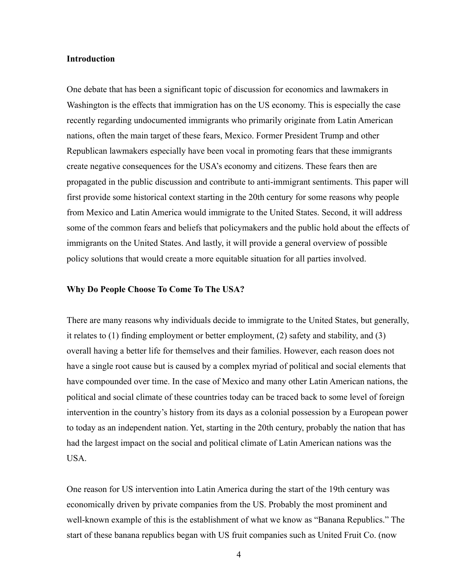#### **Introduction**

One debate that has been a significant topic of discussion for economics and lawmakers in Washington is the effects that immigration has on the US economy. This is especially the case recently regarding undocumented immigrants who primarily originate from Latin American nations, often the main target of these fears, Mexico. Former President Trump and other Republican lawmakers especially have been vocal in promoting fears that these immigrants create negative consequences for the USA's economy and citizens. These fears then are propagated in the public discussion and contribute to anti-immigrant sentiments. This paper will first provide some historical context starting in the 20th century for some reasons why people from Mexico and Latin America would immigrate to the United States. Second, it will address some of the common fears and beliefs that policymakers and the public hold about the effects of immigrants on the United States. And lastly, it will provide a general overview of possible policy solutions that would create a more equitable situation for all parties involved.

#### **Why Do People Choose To Come To The USA?**

There are many reasons why individuals decide to immigrate to the United States, but generally, it relates to (1) finding employment or better employment, (2) safety and stability, and (3) overall having a better life for themselves and their families. However, each reason does not have a single root cause but is caused by a complex myriad of political and social elements that have compounded over time. In the case of Mexico and many other Latin American nations, the political and social climate of these countries today can be traced back to some level of foreign intervention in the country's history from its days as a colonial possession by a European power to today as an independent nation. Yet, starting in the 20th century, probably the nation that has had the largest impact on the social and political climate of Latin American nations was the USA.

One reason for US intervention into Latin America during the start of the 19th century was economically driven by private companies from the US. Probably the most prominent and well-known example of this is the establishment of what we know as "Banana Republics." The start of these banana republics began with US fruit companies such as United Fruit Co. (now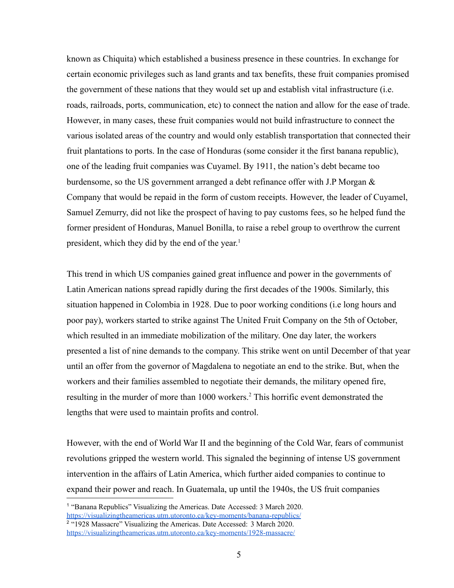known as Chiquita) which established a business presence in these countries. In exchange for certain economic privileges such as land grants and tax benefits, these fruit companies promised the government of these nations that they would set up and establish vital infrastructure (i.e. roads, railroads, ports, communication, etc) to connect the nation and allow for the ease of trade. However, in many cases, these fruit companies would not build infrastructure to connect the various isolated areas of the country and would only establish transportation that connected their fruit plantations to ports. In the case of Honduras (some consider it the first banana republic), one of the leading fruit companies was Cuyamel. By 1911, the nation's debt became too burdensome, so the US government arranged a debt refinance offer with J.P Morgan  $\&$ Company that would be repaid in the form of custom receipts. However, the leader of Cuyamel, Samuel Zemurry, did not like the prospect of having to pay customs fees, so he helped fund the former president of Honduras, Manuel Bonilla, to raise a rebel group to overthrow the current president, which they did by the end of the year. 1

This trend in which US companies gained great influence and power in the governments of Latin American nations spread rapidly during the first decades of the 1900s. Similarly, this situation happened in Colombia in 1928. Due to poor working conditions (i.e long hours and poor pay), workers started to strike against The United Fruit Company on the 5th of October, which resulted in an immediate mobilization of the military. One day later, the workers presented a list of nine demands to the company. This strike went on until December of that year until an offer from the governor of Magdalena to negotiate an end to the strike. But, when the workers and their families assembled to negotiate their demands, the military opened fire, resulting in the murder of more than 1000 workers.<sup>2</sup> This horrific event demonstrated the lengths that were used to maintain profits and control.

However, with the end of World War II and the beginning of the Cold War, fears of communist revolutions gripped the western world. This signaled the beginning of intense US government intervention in the affairs of Latin America, which further aided companies to continue to expand their power and reach. In Guatemala, up until the 1940s, the US fruit companies

<sup>&</sup>lt;sup>2</sup> "1928 Massacre" Visualizing the Americas. Date Accessed: 3 March 2020. <https://visualizingtheamericas.utm.utoronto.ca/key-moments/1928-massacre/> <sup>1</sup> "Banana Republics" Visualizing the Americas. Date Accessed: 3 March 2020. <https://visualizingtheamericas.utm.utoronto.ca/key-moments/banana-republics/>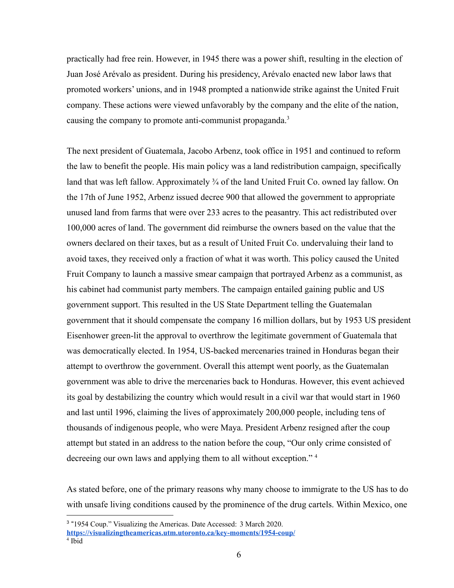practically had free rein. However, in 1945 there was a power shift, resulting in the election of Juan José Arévalo as president. During his presidency, Arévalo enacted new labor laws that promoted workers' unions, and in 1948 prompted a nationwide strike against the United Fruit company. These actions were viewed unfavorably by the company and the elite of the nation, causing the company to promote anti-communist propaganda.<sup>3</sup>

The next president of Guatemala, Jacobo Arbenz, took office in 1951 and continued to reform the law to benefit the people. His main policy was a land redistribution campaign, specifically land that was left fallow. Approximately  $\frac{3}{4}$  of the land United Fruit Co. owned lay fallow. On the 17th of June 1952, Arbenz issued decree 900 that allowed the government to appropriate unused land from farms that were over 233 acres to the peasantry. This act redistributed over 100,000 acres of land. The government did reimburse the owners based on the value that the owners declared on their taxes, but as a result of United Fruit Co. undervaluing their land to avoid taxes, they received only a fraction of what it was worth. This policy caused the United Fruit Company to launch a massive smear campaign that portrayed Arbenz as a communist, as his cabinet had communist party members. The campaign entailed gaining public and US government support. This resulted in the US State Department telling the Guatemalan government that it should compensate the company 16 million dollars, but by 1953 US president Eisenhower green-lit the approval to overthrow the legitimate government of Guatemala that was democratically elected. In 1954, US-backed mercenaries trained in Honduras began their attempt to overthrow the government. Overall this attempt went poorly, as the Guatemalan government was able to drive the mercenaries back to Honduras. However, this event achieved its goal by destabilizing the country which would result in a civil war that would start in 1960 and last until 1996, claiming the lives of approximately 200,000 people, including tens of thousands of indigenous people, who were Maya. President Arbenz resigned after the coup attempt but stated in an address to the nation before the coup, "Our only crime consisted of decreeing our own laws and applying them to all without exception." <sup>4</sup>

As stated before, one of the primary reasons why many choose to immigrate to the US has to do with unsafe living conditions caused by the prominence of the drug cartels. Within Mexico, one

<sup>&</sup>lt;sup>3</sup> "1954 Coup." Visualizing the Americas. Date Accessed: 3 March 2020. **<https://visualizingtheamericas.utm.utoronto.ca/key-moments/1954-coup/>**

<sup>4</sup> Ibid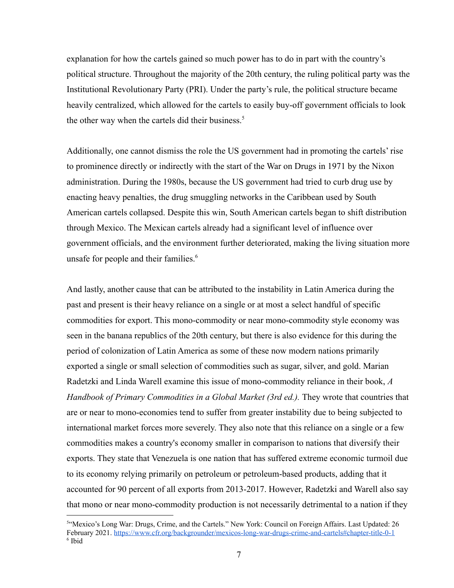explanation for how the cartels gained so much power has to do in part with the country's political structure. Throughout the majority of the 20th century, the ruling political party was the Institutional Revolutionary Party (PRI). Under the party's rule, the political structure became heavily centralized, which allowed for the cartels to easily buy-off government officials to look the other way when the cartels did their business.<sup>5</sup>

Additionally, one cannot dismiss the role the US government had in promoting the cartels' rise to prominence directly or indirectly with the start of the War on Drugs in 1971 by the Nixon administration. During the 1980s, because the US government had tried to curb drug use by enacting heavy penalties, the drug smuggling networks in the Caribbean used by South American cartels collapsed. Despite this win, South American cartels began to shift distribution through Mexico. The Mexican cartels already had a significant level of influence over government officials, and the environment further deteriorated, making the living situation more unsafe for people and their families.<sup>6</sup>

And lastly, another cause that can be attributed to the instability in Latin America during the past and present is their heavy reliance on a single or at most a select handful of specific commodities for export. This mono-commodity or near mono-commodity style economy was seen in the banana republics of the 20th century, but there is also evidence for this during the period of colonization of Latin America as some of these now modern nations primarily exported a single or small selection of commodities such as sugar, silver, and gold. Marian Radetzki and Linda Warell examine this issue of mono-commodity reliance in their book, *A Handbook of Primary Commodities in a Global Market (3rd ed.).* They wrote that countries that are or near to mono-economies tend to suffer from greater instability due to being subjected to international market forces more severely. They also note that this reliance on a single or a few commodities makes a country's economy smaller in comparison to nations that diversify their exports. They state that Venezuela is one nation that has suffered extreme economic turmoil due to its economy relying primarily on petroleum or petroleum-based products, adding that it accounted for 90 percent of all exports from 2013-2017. However, Radetzki and Warell also say that mono or near mono-commodity production is not necessarily detrimental to a nation if they

<sup>5</sup>"Mexico's Long War: Drugs, Crime, and the Cartels." New York: Council on Foreign Affairs. Last Updated: 26 February 2021. <https://www.cfr.org/backgrounder/mexicos-long-war-drugs-crime-and-cartels#chapter-title-0-1>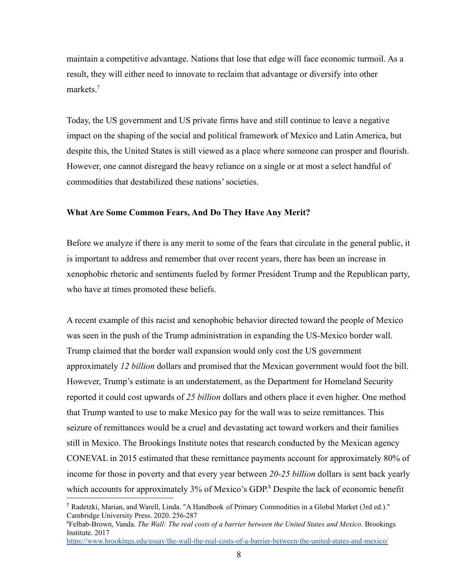maintain a competitive advantage. Nations that lose that edge will face economic turmoil. As a result, they will either need to innovate to reclaim that advantage or diversify into other markets<sup>7</sup>

Today, the US government and US private firms have and still continue to leave a negative impact on the shaping of the social and political framework of Mexico and Latin America, but despite this, the United States is still viewed as a place where someone can prosper and flourish. However, one cannot disregard the heavy reliance on a single or at most a select handful of commodities that destabilized these nations' societies.

## **What Are Some Common Fears, And Do They Have Any Merit?**

Before we analyze if there is any merit to some of the fears that circulate in the general public, it is important to address and remember that over recent years, there has been an increase in xenophobic rhetoric and sentiments fueled by former President Trump and the Republican party, who have at times promoted these beliefs.

A recent example of this racist and xenophobic behavior directed toward the people of Mexico was seen in the push of the Trump administration in expanding the US-Mexico border wall. Trump claimed that the border wall expansion would only cost the US government approximately *12 billion* dollars and promised that the Mexican government would foot the bill. However, Trump's estimate is an understatement, as the Department for Homeland Security reported it could cost upwards of *25 billion* dollars and others place it even higher. One method that Trump wanted to use to make Mexico pay for the wall was to seize remittances. This seizure of remittances would be a cruel and devastating act toward workers and their families still in Mexico. The Brookings Institute notes that research conducted by the Mexican agency CONEVAL in 2015 estimated that these remittance payments account for approximately 80% of income for those in poverty and that every year between *20-25 billion* dollars is sent back yearly which accounts for approximately 3% of Mexico's GDP.<sup>8</sup> Despite the lack of economic benefit

<sup>7</sup> Radetzki, Marian, and Warell, Linda. "A Handbook of Primary Commodities in a Global Market (3rd ed.)." Cambridge University Press. 2020. 256-287

<sup>8</sup>Felbab-Brown, Vanda. *The Wall: The real costs of a barrier between the United States and Mexico*. Brookings Institute. 2017

<https://www.brookings.edu/essay/the-wall-the-real-costs-of-a-barrier-between-the-united-states-and-mexico/>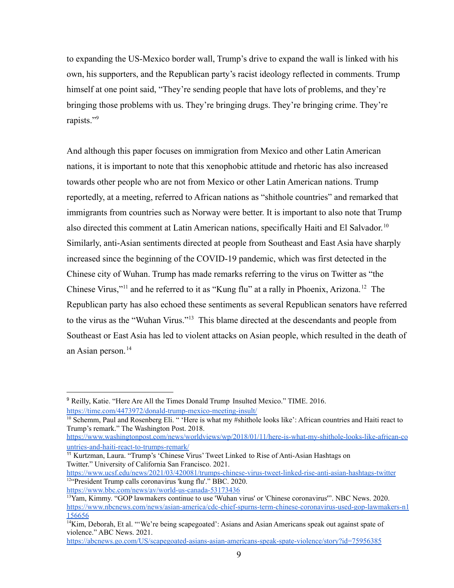to expanding the US-Mexico border wall, Trump's drive to expand the wall is linked with his own, his supporters, and the Republican party's racist ideology reflected in comments. Trump himself at one point said, "They're sending people that have lots of problems, and they're bringing those problems with us. They're bringing drugs. They're bringing crime. They're rapists."<sup>9</sup>

And although this paper focuses on immigration from Mexico and other Latin American nations, it is important to note that this xenophobic attitude and rhetoric has also increased towards other people who are not from Mexico or other Latin American nations. Trump reportedly, at a meeting, referred to African nations as "shithole countries" and remarked that immigrants from countries such as Norway were better. It is important to also note that Trump also directed this comment at Latin American nations, specifically Haiti and El Salvador. 10 Similarly, anti-Asian sentiments directed at people from Southeast and East Asia have sharply increased since the beginning of the COVID-19 pandemic, which was first detected in the Chinese city of Wuhan. Trump has made remarks referring to the virus on Twitter as "the Chinese Virus,"<sup>11</sup> and he referred to it as "Kung flu" at a rally in Phoenix, Arizona.<sup>12</sup> The Republican party has also echoed these sentiments as several Republican senators have referred to the virus as the "Wuhan Virus."<sup>13</sup> This blame directed at the descendants and people from Southeast or East Asia has led to violent attacks on Asian people, which resulted in the death of an Asian person. $14$ 

<sup>11</sup> Kurtzman, Laura. "Trump's 'Chinese Virus' Tweet Linked to Rise of Anti-Asian Hashtags on Twitter." University of California San Francisco. 2021.

<https://www.bbc.com/news/av/world-us-canada-53173436>

<sup>&</sup>lt;sup>9</sup> Reilly, Katie. "Here Are All the Times Donald Trump Insulted Mexico." TIME. 2016. <https://time.com/4473972/donald-trump-mexico-meeting-insult/>

<sup>&</sup>lt;sup>10</sup> Schemm, Paul and Rosenberg Eli. " 'Here is what my #shithole looks like': African countries and Haiti react to Trump's remark." The Washington Post. 2018.

[https://www.washingtonpost.com/news/worldviews/wp/2018/01/11/here-is-what-my-shithole-looks-like-african-co](https://www.washingtonpost.com/news/worldviews/wp/2018/01/11/here-is-what-my-shithole-looks-like-african-countries-and-haiti-react-to-trumps-remark/) [untries-and-haiti-react-to-trumps-remark/](https://www.washingtonpost.com/news/worldviews/wp/2018/01/11/here-is-what-my-shithole-looks-like-african-countries-and-haiti-react-to-trumps-remark/)

<sup>&</sup>lt;sup>12"</sup>President Trump calls coronavirus 'kung flu'." BBC. 2020. <https://www.ucsf.edu/news/2021/03/420081/trumps-chinese-virus-tweet-linked-rise-anti-asian-hashtags-twitter>

<sup>&</sup>lt;sup>13</sup>Yam, Kimmy. "GOP lawmakers continue to use 'Wuhan virus' or 'Chinese coronavirus'". NBC News. 2020. [https://www.nbcnews.com/news/asian-america/cdc-chief-spurns-term-chinese-coronavirus-used-gop-lawmakers-n1](https://www.nbcnews.com/news/asian-america/cdc-chief-spurns-term-chinese-coronavirus-used-gop-lawmakers-n1156656) [156656](https://www.nbcnews.com/news/asian-america/cdc-chief-spurns-term-chinese-coronavirus-used-gop-lawmakers-n1156656)

<sup>&</sup>lt;sup>14</sup>Kim, Deborah, Et al. "'We're being scapegoated': Asians and Asian Americans speak out against spate of violence." ABC News. 2021.

<https://abcnews.go.com/US/scapegoated-asians-asian-americans-speak-spate-violence/story?id=75956385>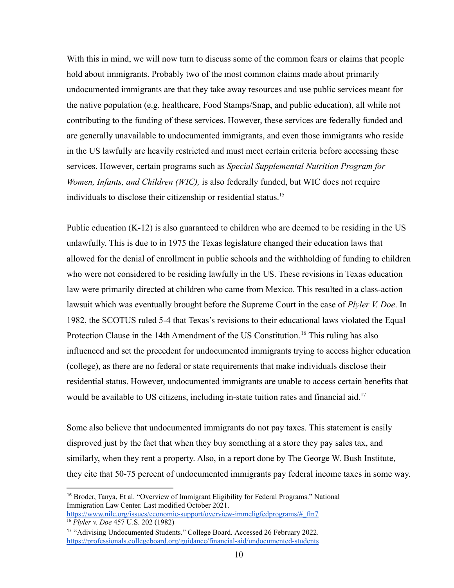With this in mind, we will now turn to discuss some of the common fears or claims that people hold about immigrants. Probably two of the most common claims made about primarily undocumented immigrants are that they take away resources and use public services meant for the native population (e.g. healthcare, Food Stamps/Snap, and public education), all while not contributing to the funding of these services. However, these services are federally funded and are generally unavailable to undocumented immigrants, and even those immigrants who reside in the US lawfully are heavily restricted and must meet certain criteria before accessing these services. However, certain programs such as *Special Supplemental Nutrition Program for Women, Infants, and Children (WIC),* is also federally funded, but WIC does not require individuals to disclose their citizenship or residential status.<sup>15</sup>

Public education (K-12) is also guaranteed to children who are deemed to be residing in the US unlawfully. This is due to in 1975 the Texas legislature changed their education laws that allowed for the denial of enrollment in public schools and the withholding of funding to children who were not considered to be residing lawfully in the US. These revisions in Texas education law were primarily directed at children who came from Mexico. This resulted in a class-action lawsuit which was eventually brought before the Supreme Court in the case of *Plyler V. Doe*. In 1982, the SCOTUS ruled 5-4 that Texas's revisions to their educational laws violated the Equal Protection Clause in the 14th Amendment of the US Constitution.<sup>16</sup> This ruling has also influenced and set the precedent for undocumented immigrants trying to access higher education (college), as there are no federal or state requirements that make individuals disclose their residential status. However, undocumented immigrants are unable to access certain benefits that would be available to US citizens, including in-state tuition rates and financial aid.<sup>17</sup>

Some also believe that undocumented immigrants do not pay taxes. This statement is easily disproved just by the fact that when they buy something at a store they pay sales tax, and similarly, when they rent a property. Also, in a report done by The George W. Bush Institute, they cite that 50-75 percent of undocumented immigrants pay federal income taxes in some way.

<sup>15</sup> Broder, Tanya, Et al. "Overview of Immigrant Eligibility for Federal Programs." National Immigration Law Center. Last modified October 2021.

<sup>16</sup> *Plyler v. Doe* 457 U.S. 202 (1982) [https://www.nilc.org/issues/economic-support/overview-immeligfedprograms/#\\_ftn7](https://www.nilc.org/issues/economic-support/overview-immeligfedprograms/#_ftn7)

<sup>17</sup> "Adivising Undocumented Students." College Board. Accessed 26 February 2022. <https://professionals.collegeboard.org/guidance/financial-aid/undocumented-students>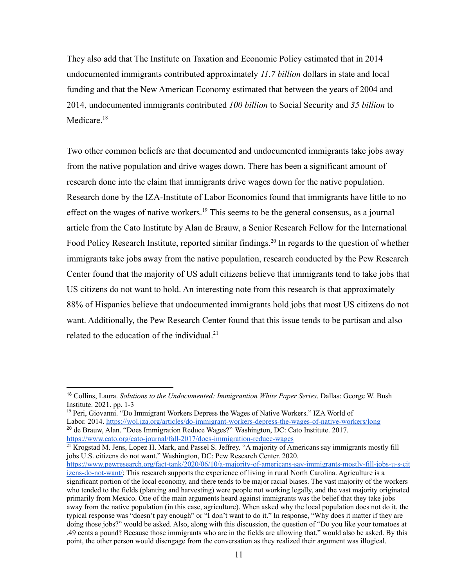They also add that The Institute on Taxation and Economic Policy estimated that in 2014 undocumented immigrants contributed approximately *11.7 billion* dollars in state and local funding and that the New American Economy estimated that between the years of 2004 and 2014, undocumented immigrants contributed *100 billion* to Social Security and *35 billion* to Medicare<sup>18</sup>

Two other common beliefs are that documented and undocumented immigrants take jobs away from the native population and drive wages down. There has been a significant amount of research done into the claim that immigrants drive wages down for the native population. Research done by the IZA-Institute of Labor Economics found that immigrants have little to no effect on the wages of native workers.<sup>19</sup> This seems to be the general consensus, as a journal article from the Cato Institute by Alan de Brauw, a Senior Research Fellow for the International Food Policy Research Institute, reported similar findings.<sup>20</sup> In regards to the question of whether immigrants take jobs away from the native population, research conducted by the Pew Research Center found that the majority of US adult citizens believe that immigrants tend to take jobs that US citizens do not want to hold. An interesting note from this research is that approximately 88% of Hispanics believe that undocumented immigrants hold jobs that most US citizens do not want. Additionally, the Pew Research Center found that this issue tends to be partisan and also related to the education of the individual.<sup>21</sup>

<sup>21</sup> Krogstad M. Jens, Lopez H. Mark, and Passel S. Jeffrey. "A majority of Americans say immigrants mostly fill jobs U.S. citizens do not want." Washington, DC: Pew Research Center. 2020.

<sup>18</sup> Collins, Laura. *Solutions to the Undocumented: Immigrantion White Paper Series*. Dallas: George W. Bush Institute. 2021. pp. 1-3

<sup>20</sup> de Brauw, Alan. "Does Immigration Reduce Wages?" Washington, DC: Cato Institute. 2017. <https://www.cato.org/cato-journal/fall-2017/does-immigration-reduce-wages> <sup>19</sup> Peri, Giovanni. "Do Immigrant Workers Depress the Wages of Native Workers." IZA World of Labor. 2014. <https://wol.iza.org/articles/do-immigrant-workers-depress-the-wages-of-native-workers/long>

[https://www.pewresearch.org/fact-tank/2020/06/10/a-majority-of-americans-say-immigrants-mostly-fill-jobs-u-s-cit](https://www.pewresearch.org/fact-tank/2020/06/10/a-majority-of-americans-say-immigrants-mostly-fill-jobs-u-s-citizens-do-not-want/) [izens-do-not-want/;](https://www.pewresearch.org/fact-tank/2020/06/10/a-majority-of-americans-say-immigrants-mostly-fill-jobs-u-s-citizens-do-not-want/) This research supports the experience of living in rural North Carolina. Agriculture is a significant portion of the local economy, and there tends to be major racial biases. The vast majority of the workers who tended to the fields (planting and harvesting) were people not working legally, and the vast majority originated primarily from Mexico. One of the main arguments heard against immigrants was the belief that they take jobs away from the native population (in this case, agriculture). When asked why the local population does not do it, the typical response was "doesn't pay enough" or "I don't want to do it." In response, "Why does it matter if they are doing those jobs?" would be asked. Also, along with this discussion, the question of "Do you like your tomatoes at .49 cents a pound? Because those immigrants who are in the fields are allowing that." would also be asked. By this point, the other person would disengage from the conversation as they realized their argument was illogical.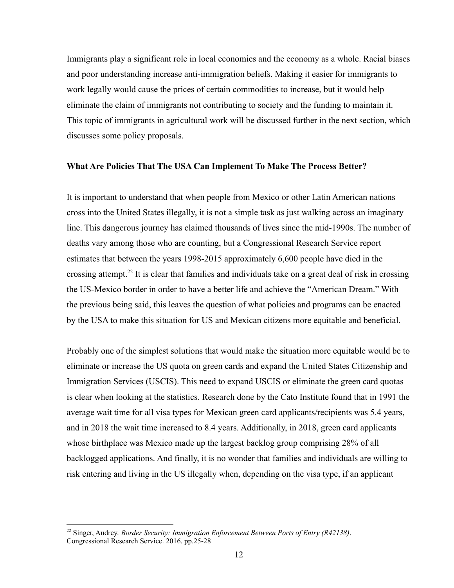Immigrants play a significant role in local economies and the economy as a whole. Racial biases and poor understanding increase anti-immigration beliefs. Making it easier for immigrants to work legally would cause the prices of certain commodities to increase, but it would help eliminate the claim of immigrants not contributing to society and the funding to maintain it. This topic of immigrants in agricultural work will be discussed further in the next section, which discusses some policy proposals.

#### **What Are Policies That The USA Can Implement To Make The Process Better?**

It is important to understand that when people from Mexico or other Latin American nations cross into the United States illegally, it is not a simple task as just walking across an imaginary line. This dangerous journey has claimed thousands of lives since the mid-1990s. The number of deaths vary among those who are counting, but a Congressional Research Service report estimates that between the years 1998-2015 approximately 6,600 people have died in the crossing attempt.<sup>22</sup> It is clear that families and individuals take on a great deal of risk in crossing the US-Mexico border in order to have a better life and achieve the "American Dream." With the previous being said, this leaves the question of what policies and programs can be enacted by the USA to make this situation for US and Mexican citizens more equitable and beneficial.

Probably one of the simplest solutions that would make the situation more equitable would be to eliminate or increase the US quota on green cards and expand the United States Citizenship and Immigration Services (USCIS). This need to expand USCIS or eliminate the green card quotas is clear when looking at the statistics. Research done by the Cato Institute found that in 1991 the average wait time for all visa types for Mexican green card applicants/recipients was 5.4 years, and in 2018 the wait time increased to 8.4 years. Additionally, in 2018, green card applicants whose birthplace was Mexico made up the largest backlog group comprising 28% of all backlogged applications. And finally, it is no wonder that families and individuals are willing to risk entering and living in the US illegally when, depending on the visa type, if an applicant

<sup>22</sup> Singer, Audrey. *Border Security: Immigration Enforcement Between Ports of Entry (R42138)*. Congressional Research Service. 2016. pp.25-28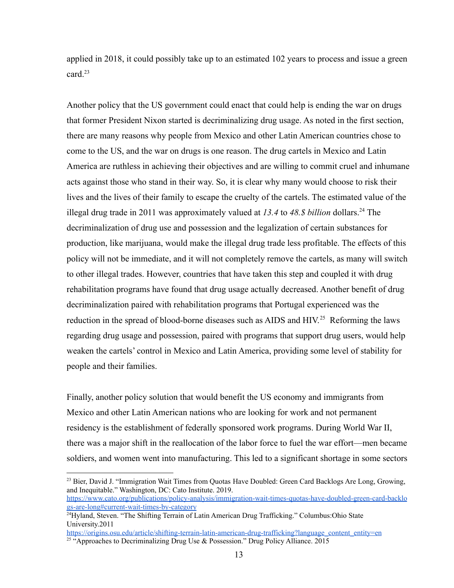applied in 2018, it could possibly take up to an estimated 102 years to process and issue a green card.<sup>23</sup>

Another policy that the US government could enact that could help is ending the war on drugs that former President Nixon started is decriminalizing drug usage. As noted in the first section, there are many reasons why people from Mexico and other Latin American countries chose to come to the US, and the war on drugs is one reason. The drug cartels in Mexico and Latin America are ruthless in achieving their objectives and are willing to commit cruel and inhumane acts against those who stand in their way. So, it is clear why many would choose to risk their lives and the lives of their family to escape the cruelty of the cartels. The estimated value of the illegal drug trade in 2011 was approximately valued at  $13.4$  to  $48.8$  billion dollars.<sup>24</sup> The decriminalization of drug use and possession and the legalization of certain substances for production, like marijuana, would make the illegal drug trade less profitable. The effects of this policy will not be immediate, and it will not completely remove the cartels, as many will switch to other illegal trades. However, countries that have taken this step and coupled it with drug rehabilitation programs have found that drug usage actually decreased. Another benefit of drug decriminalization paired with rehabilitation programs that Portugal experienced was the reduction in the spread of blood-borne diseases such as AIDS and HIV.<sup>25</sup> Reforming the laws regarding drug usage and possession, paired with programs that support drug users, would help weaken the cartels' control in Mexico and Latin America, providing some level of stability for people and their families.

Finally, another policy solution that would benefit the US economy and immigrants from Mexico and other Latin American nations who are looking for work and not permanent residency is the establishment of federally sponsored work programs. During World War II, there was a major shift in the reallocation of the labor force to fuel the war effort—men became soldiers, and women went into manufacturing. This led to a significant shortage in some sectors

<sup>&</sup>lt;sup>23</sup> Bier, David J. "Immigration Wait Times from Quotas Have Doubled: Green Card Backlogs Are Long, Growing, and Inequitable." Washington, DC: Cato Institute. 2019.

[https://www.cato.org/publications/policy-analysis/immigration-wait-times-quotas-have-doubled-green-card-backlo](https://www.cato.org/publications/policy-analysis/immigration-wait-times-quotas-have-doubled-green-card-backlogs-are-long#current-wait-times-by-category) [gs-are-long#current-wait-times-by-category](https://www.cato.org/publications/policy-analysis/immigration-wait-times-quotas-have-doubled-green-card-backlogs-are-long#current-wait-times-by-category)

<sup>&</sup>lt;sup>24</sup>Hyland, Steven. "The Shifting Terrain of Latin American Drug Trafficking." Columbus:Ohio State University.2011

<sup>&</sup>lt;sup>25 "</sup>Approaches to Decriminalizing Drug Use & Possession." Drug Policy Alliance. 2015 [https://origins.osu.edu/article/shifting-terrain-latin-american-drug-trafficking?language\\_content\\_entity=en](https://origins.osu.edu/article/shifting-terrain-latin-american-drug-trafficking?language_content_entity=en)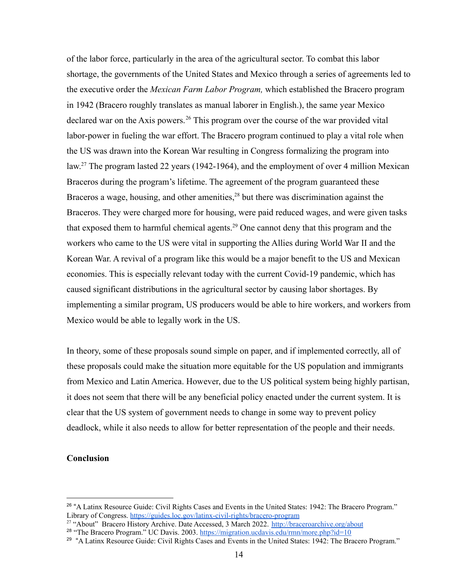of the labor force, particularly in the area of the agricultural sector. To combat this labor shortage, the governments of the United States and Mexico through a series of agreements led to the executive order the *Mexican Farm Labor Program,* which established the Bracero program in 1942 (Bracero roughly translates as manual laborer in English.), the same year Mexico declared war on the Axis powers.<sup>26</sup> This program over the course of the war provided vital labor-power in fueling the war effort. The Bracero program continued to play a vital role when the US was drawn into the Korean War resulting in Congress formalizing the program into law.<sup>27</sup> The program lasted 22 years (1942-1964), and the employment of over 4 million Mexican Braceros during the program's lifetime. The agreement of the program guaranteed these Braceros a wage, housing, and other amenities,  $28$  but there was discrimination against the Braceros. They were charged more for housing, were paid reduced wages, and were given tasks that exposed them to harmful chemical agents.<sup>29</sup> One cannot deny that this program and the workers who came to the US were vital in supporting the Allies during World War II and the Korean War. A revival of a program like this would be a major benefit to the US and Mexican economies. This is especially relevant today with the current Covid-19 pandemic, which has caused significant distributions in the agricultural sector by causing labor shortages. By implementing a similar program, US producers would be able to hire workers, and workers from Mexico would be able to legally work in the US.

In theory, some of these proposals sound simple on paper, and if implemented correctly, all of these proposals could make the situation more equitable for the US population and immigrants from Mexico and Latin America. However, due to the US political system being highly partisan, it does not seem that there will be any beneficial policy enacted under the current system. It is clear that the US system of government needs to change in some way to prevent policy deadlock, while it also needs to allow for better representation of the people and their needs.

# **Conclusion**

<sup>27</sup> "About" Bracero History Archive. Date Accessed, 3 March 2022. <http://braceroarchive.org/about>

<sup>&</sup>lt;sup>26</sup> "A Latinx Resource Guide: Civil Rights Cases and Events in the United States: 1942: The Bracero Program." Library of Congress. <https://guides.loc.gov/latinx-civil-rights/bracero-program>

<sup>&</sup>lt;sup>28</sup> "The Bracero Program." UC Davis. 2003. <https://migration.ucdavis.edu/rmn/more.php?id=10>

<sup>&</sup>lt;sup>29</sup> "A Latinx Resource Guide: Civil Rights Cases and Events in the United States: 1942: The Bracero Program."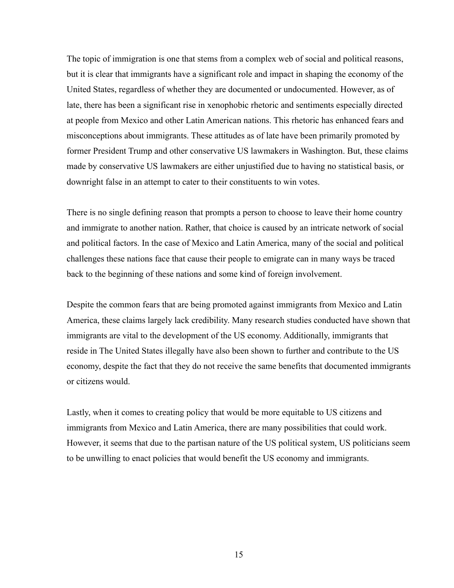The topic of immigration is one that stems from a complex web of social and political reasons, but it is clear that immigrants have a significant role and impact in shaping the economy of the United States, regardless of whether they are documented or undocumented. However, as of late, there has been a significant rise in xenophobic rhetoric and sentiments especially directed at people from Mexico and other Latin American nations. This rhetoric has enhanced fears and misconceptions about immigrants. These attitudes as of late have been primarily promoted by former President Trump and other conservative US lawmakers in Washington. But, these claims made by conservative US lawmakers are either unjustified due to having no statistical basis, or downright false in an attempt to cater to their constituents to win votes.

There is no single defining reason that prompts a person to choose to leave their home country and immigrate to another nation. Rather, that choice is caused by an intricate network of social and political factors. In the case of Mexico and Latin America, many of the social and political challenges these nations face that cause their people to emigrate can in many ways be traced back to the beginning of these nations and some kind of foreign involvement.

Despite the common fears that are being promoted against immigrants from Mexico and Latin America, these claims largely lack credibility. Many research studies conducted have shown that immigrants are vital to the development of the US economy. Additionally, immigrants that reside in The United States illegally have also been shown to further and contribute to the US economy, despite the fact that they do not receive the same benefits that documented immigrants or citizens would.

Lastly, when it comes to creating policy that would be more equitable to US citizens and immigrants from Mexico and Latin America, there are many possibilities that could work. However, it seems that due to the partisan nature of the US political system, US politicians seem to be unwilling to enact policies that would benefit the US economy and immigrants.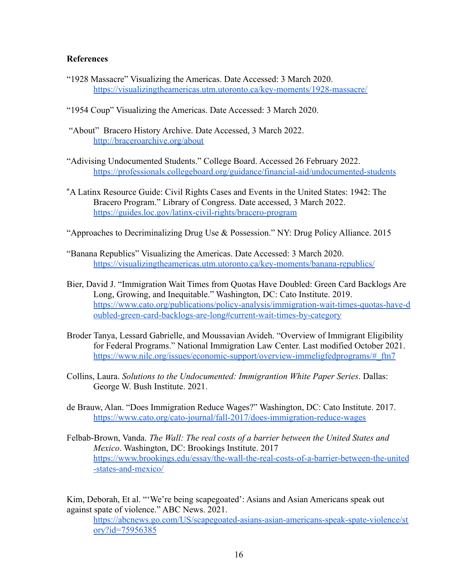## **References**

- "1928 Massacre" Visualizing the Americas. Date Accessed: 3 March 2020. <https://visualizingtheamericas.utm.utoronto.ca/key-moments/1928-massacre/>
- "1954 Coup" Visualizing the Americas. Date Accessed: 3 March 2020.
- "About" Bracero History Archive. Date Accessed, 3 March 2022. <http://braceroarchive.org/about>
- "Adivising Undocumented Students." College Board. Accessed 26 February 2022. <https://professionals.collegeboard.org/guidance/financial-aid/undocumented-students>
- "A Latinx Resource Guide: Civil Rights Cases and Events in the United States: 1942: The Bracero Program." Library of Congress. Date accessed, 3 March 2022. <https://guides.loc.gov/latinx-civil-rights/bracero-program>

"Approaches to Decriminalizing Drug Use & Possession." NY: Drug Policy Alliance. 2015

- "Banana Republics" Visualizing the Americas. Date Accessed: 3 March 2020. <https://visualizingtheamericas.utm.utoronto.ca/key-moments/banana-republics/>
- Bier, David J. "Immigration Wait Times from Quotas Have Doubled: Green Card Backlogs Are Long, Growing, and Inequitable." Washington, DC: Cato Institute. 2019. [https://www.cato.org/publications/policy-analysis/immigration-wait-times-quotas-have-d](https://www.cato.org/publications/policy-analysis/immigration-wait-times-quotas-have-doubled-green-card-backlogs-are-long#current-wait-times-by-category) [oubled-green-card-backlogs-are-long#current-wait-times-by-category](https://www.cato.org/publications/policy-analysis/immigration-wait-times-quotas-have-doubled-green-card-backlogs-are-long#current-wait-times-by-category)
- Broder Tanya, Lessard Gabrielle, and Moussavian Avideh. "Overview of Immigrant Eligibility for Federal Programs." National Immigration Law Center. Last modified October 2021. https://www.nilc.org/issues/economic-support/overview-immeligfedprograms/# ftn7
- Collins, Laura. *Solutions to the Undocumented: Immigrantion White Paper Series*. Dallas: George W. Bush Institute. 2021.
- de Brauw, Alan. "Does Immigration Reduce Wages?" Washington, DC: Cato Institute. 2017. <https://www.cato.org/cato-journal/fall-2017/does-immigration-reduce-wages>
- Felbab-Brown, Vanda. *The Wall: The real costs of a barrier between the United States and Mexico*. Washington, DC: Brookings Institute. 2017 [https://www.brookings.edu/essay/the-wall-the-real-costs-of-a-barrier-between-the-united](https://www.brookings.edu/essay/the-wall-the-real-costs-of-a-barrier-between-the-united-states-and-mexico/) [-states-and-mexico/](https://www.brookings.edu/essay/the-wall-the-real-costs-of-a-barrier-between-the-united-states-and-mexico/)

Kim, Deborah, Et al. "'We're being scapegoated': Asians and Asian Americans speak out against spate of violence." ABC News. 2021.

[https://abcnews.go.com/US/scapegoated-asians-asian-americans-speak-spate-violence/st](https://abcnews.go.com/US/scapegoated-asians-asian-americans-speak-spate-violence/story?id=75956385) [ory?id=75956385](https://abcnews.go.com/US/scapegoated-asians-asian-americans-speak-spate-violence/story?id=75956385)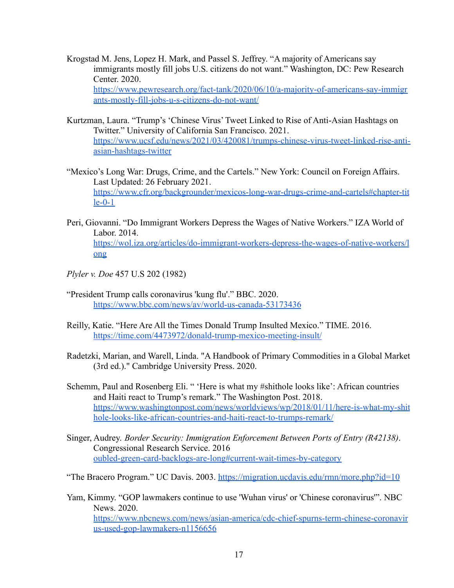- Krogstad M. Jens, Lopez H. Mark, and Passel S. Jeffrey. "A majority of Americans say immigrants mostly fill jobs U.S. citizens do not want." Washington, DC: Pew Research Center. 2020. [https://www.pewresearch.org/fact-tank/2020/06/10/a-majority-of-americans-say-immigr](https://www.pewresearch.org/fact-tank/2020/06/10/a-majority-of-americans-say-immigrants-mostly-fill-jobs-u-s-citizens-do-not-want/) [ants-mostly-fill-jobs-u-s-citizens-do-not-want/](https://www.pewresearch.org/fact-tank/2020/06/10/a-majority-of-americans-say-immigrants-mostly-fill-jobs-u-s-citizens-do-not-want/)
- Kurtzman, Laura. "Trump's 'Chinese Virus' Tweet Linked to Rise of Anti-Asian Hashtags on Twitter." University of California San Francisco. 2021. [https://www.ucsf.edu/news/2021/03/420081/trumps-chinese-virus-tweet-linked-rise-anti](https://www.ucsf.edu/news/2021/03/420081/trumps-chinese-virus-tweet-linked-rise-anti-asian-hashtags-twitter)[asian-hashtags-twitter](https://www.ucsf.edu/news/2021/03/420081/trumps-chinese-virus-tweet-linked-rise-anti-asian-hashtags-twitter)
- "Mexico's Long War: Drugs, Crime, and the Cartels." New York: Council on Foreign Affairs. Last Updated: 26 February 2021. [https://www.cfr.org/backgrounder/mexicos-long-war-drugs-crime-and-cartels#chapter-tit](https://www.cfr.org/backgrounder/mexicos-long-war-drugs-crime-and-cartels#chapter-title-0-1) [le-0-1](https://www.cfr.org/backgrounder/mexicos-long-war-drugs-crime-and-cartels#chapter-title-0-1)
- Peri, Giovanni. "Do Immigrant Workers Depress the Wages of Native Workers." IZA World of Labor. 2014. [https://wol.iza.org/articles/do-immigrant-workers-depress-the-wages-of-native-workers/l](https://wol.iza.org/articles/do-immigrant-workers-depress-the-wages-of-native-workers/long) [ong](https://wol.iza.org/articles/do-immigrant-workers-depress-the-wages-of-native-workers/long)
- *Plyler v. Doe* 457 U.S 202 (1982)
- "President Trump calls coronavirus 'kung flu'." BBC. 2020. <https://www.bbc.com/news/av/world-us-canada-53173436>
- Reilly, Katie. "Here Are All the Times Donald Trump Insulted Mexico." TIME. 2016. <https://time.com/4473972/donald-trump-mexico-meeting-insult/>
- Radetzki, Marian, and Warell, Linda. "A Handbook of Primary Commodities in a Global Market (3rd ed.)." Cambridge University Press. 2020.
- Schemm, Paul and Rosenberg Eli. " 'Here is what my #shithole looks like': African countries and Haiti react to Trump's remark." The Washington Post. 2018. [https://www.washingtonpost.com/news/worldviews/wp/2018/01/11/here-is-what-my-shit](https://www.washingtonpost.com/news/worldviews/wp/2018/01/11/here-is-what-my-shithole-looks-like-african-countries-and-haiti-react-to-trumps-remark/) [hole-looks-like-african-countries-and-haiti-react-to-trumps-remark/](https://www.washingtonpost.com/news/worldviews/wp/2018/01/11/here-is-what-my-shithole-looks-like-african-countries-and-haiti-react-to-trumps-remark/)
- Singer, Audrey. *Border Security: Immigration Enforcement Between Ports of Entry (R42138)*. Congressional Research Service. 2016 [oubled-green-card-backlogs-are-long#current-wait-times-by-category](https://www.cato.org/publications/policy-analysis/immigration-wait-times-quotas-have-doubled-green-card-backlogs-are-long#current-wait-times-by-category)

"The Bracero Program." UC Davis. 2003. <https://migration.ucdavis.edu/rmn/more.php?id=10>

Yam, Kimmy. "GOP lawmakers continue to use 'Wuhan virus' or 'Chinese coronavirus'". NBC News. 2020. [https://www.nbcnews.com/news/asian-america/cdc-chief-spurns-term-chinese-coronavir](https://www.nbcnews.com/news/asian-america/cdc-chief-spurns-term-chinese-coronavirus-used-gop-lawmakers-n1156656) [us-used-gop-lawmakers-n1156656](https://www.nbcnews.com/news/asian-america/cdc-chief-spurns-term-chinese-coronavirus-used-gop-lawmakers-n1156656)